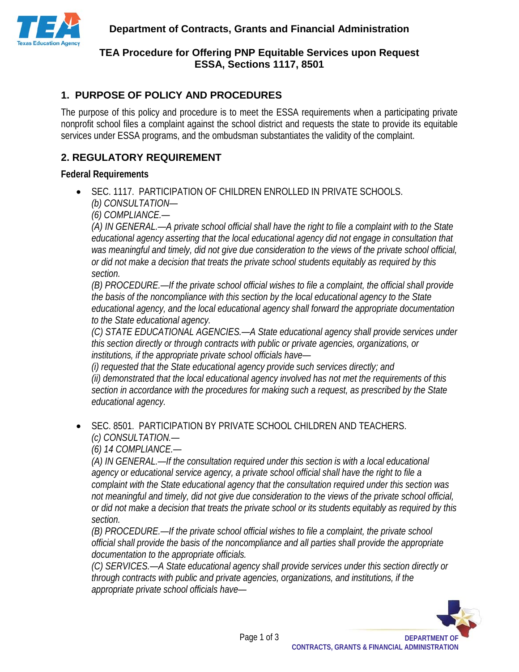

# **TEA Procedure for Offering PNP Equitable Services upon Request ESSA, Sections 1117, 8501**

# **1. PURPOSE OF POLICY AND PROCEDURES**

The purpose of this policy and procedure is to meet the ESSA requirements when a participating private nonprofit school files a complaint against the school district and requests the state to provide its equitable services under ESSA programs, and the ombudsman substantiates the validity of the complaint.

## **2. REGULATORY REQUIREMENT**

#### **Federal Requirements**

• SEC. 1117. PARTICIPATION OF CHILDREN ENROLLED IN PRIVATE SCHOOLS. *(b) CONSULTATION—*

*(6) COMPLIANCE.—*

*(A) IN GENERAL.—A private school official shall have the right to file a complaint with to the State educational agency asserting that the local educational agency did not engage in consultation that was meaningful and timely, did not give due consideration to the views of the private school official, or did not make a decision that treats the private school students equitably as required by this section.*

*(B) PROCEDURE.—If the private school official wishes to file a complaint, the official shall provide the basis of the noncompliance with this section by the local educational agency to the State educational agency, and the local educational agency shall forward the appropriate documentation to the State educational agency.*

*(C) STATE EDUCATIONAL AGENCIES.—A State educational agency shall provide services under this section directly or through contracts with public or private agencies, organizations, or institutions, if the appropriate private school officials have—*

*(i) requested that the State educational agency provide such services directly; and (ii) demonstrated that the local educational agency involved has not met the requirements of this section in accordance with the procedures for making such a request, as prescribed by the State educational agency.*

• SEC. 8501. PARTICIPATION BY PRIVATE SCHOOL CHILDREN AND TEACHERS. *(c) CONSULTATION.—*

*(6) 14 COMPLIANCE.—*

*(A) IN GENERAL.—If the consultation required under this section is with a local educational agency or educational service agency, a private school official shall have the right to file a complaint with the State educational agency that the consultation required under this section was not meaningful and timely, did not give due consideration to the views of the private school official, or did not make a decision that treats the private school or its students equitably as required by this section.*

*(B) PROCEDURE.—If the private school official wishes to file a complaint, the private school official shall provide the basis of the noncompliance and all parties shall provide the appropriate documentation to the appropriate officials.*

*(C) SERVICES.—A State educational agency shall provide services under this section directly or through contracts with public and private agencies, organizations, and institutions, if the appropriate private school officials have—*

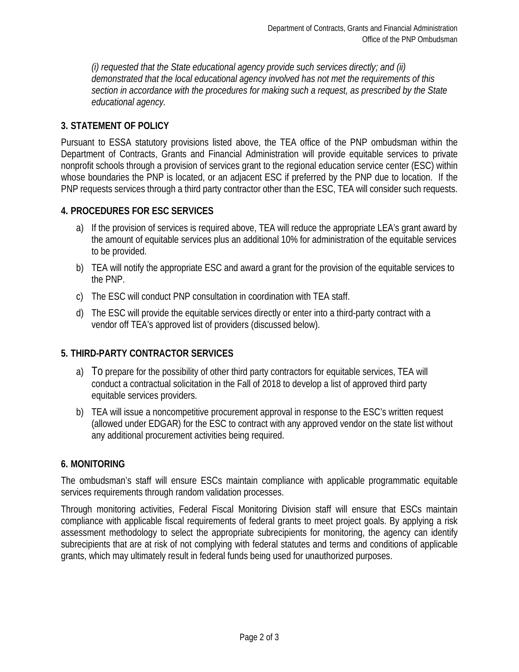*(i) requested that the State educational agency provide such services directly; and (ii) demonstrated that the local educational agency involved has not met the requirements of this section in accordance with the procedures for making such a request, as prescribed by the State educational agency.*

### **3. STATEMENT OF POLICY**

Pursuant to ESSA statutory provisions listed above, the TEA office of the PNP ombudsman within the Department of Contracts, Grants and Financial Administration will provide equitable services to private nonprofit schools through a provision of services grant to the regional education service center (ESC) within whose boundaries the PNP is located, or an adjacent ESC if preferred by the PNP due to location. If the PNP requests services through a third party contractor other than the ESC, TEA will consider such requests.

### **4. PROCEDURES FOR ESC SERVICES**

- a) If the provision of services is required above, TEA will reduce the appropriate LEA's grant award by the amount of equitable services plus an additional 10% for administration of the equitable services to be provided.
- b) TEA will notify the appropriate ESC and award a grant for the provision of the equitable services to the PNP.
- c) The ESC will conduct PNP consultation in coordination with TEA staff.
- d) The ESC will provide the equitable services directly or enter into a third-party contract with a vendor off TEA's approved list of providers (discussed below).

### **5. THIRD-PARTY CONTRACTOR SERVICES**

- a) To prepare for the possibility of other third party contractors for equitable services, TEA will conduct a contractual solicitation in the Fall of 2018 to develop a list of approved third party equitable services providers.
- b) TEA will issue a noncompetitive procurement approval in response to the ESC's written request (allowed under EDGAR) for the ESC to contract with any approved vendor on the state list without any additional procurement activities being required.

### **6. MONITORING**

The ombudsman's staff will ensure ESCs maintain compliance with applicable programmatic equitable services requirements through random validation processes.

Through monitoring activities, Federal Fiscal Monitoring Division staff will ensure that ESCs maintain compliance with applicable fiscal requirements of federal grants to meet project goals. By applying a risk assessment methodology to select the appropriate subrecipients for monitoring, the agency can identify subrecipients that are at risk of not complying with federal statutes and terms and conditions of applicable grants, which may ultimately result in federal funds being used for unauthorized purposes.